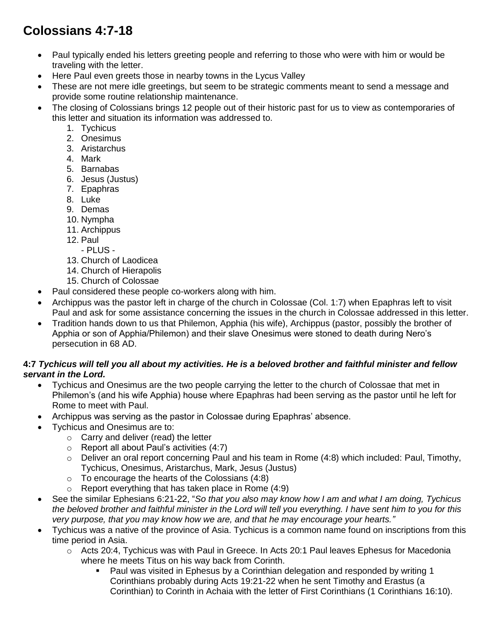# **Colossians 4:7-18**

- Paul typically ended his letters greeting people and referring to those who were with him or would be traveling with the letter.
- Here Paul even greets those in nearby towns in the Lycus Valley
- These are not mere idle greetings, but seem to be strategic comments meant to send a message and provide some routine relationship maintenance.
- The closing of Colossians brings 12 people out of their historic past for us to view as contemporaries of this letter and situation its information was addressed to.
	- 1. Tychicus
	- 2. Onesimus
	- 3. Aristarchus
	- 4. Mark
	- 5. Barnabas
	- 6. Jesus (Justus)
	- 7. Epaphras
	- 8. Luke
	- 9. Demas
	- 10. Nympha
	- 11. Archippus
	- 12. Paul
	- PLUS -
	- 13. Church of Laodicea
	- 14. Church of Hierapolis 15. Church of Colossae
- Paul considered these people co-workers along with him.
- Archippus was the pastor left in charge of the church in Colossae (Col. 1:7) when Epaphras left to visit Paul and ask for some assistance concerning the issues in the church in Colossae addressed in this letter.
- Tradition hands down to us that Philemon, Apphia (his wife), Archippus (pastor, possibly the brother of Apphia or son of Apphia/Philemon) and their slave Onesimus were stoned to death during Nero's persecution in 68 AD.

# **4:7** *Tychicus will tell you all about my activities. He is a beloved brother and faithful minister and fellow servant in the Lord.*

- Tychicus and Onesimus are the two people carrying the letter to the church of Colossae that met in Philemon's (and his wife Apphia) house where Epaphras had been serving as the pastor until he left for Rome to meet with Paul.
- Archippus was serving as the pastor in Colossae during Epaphras' absence.
- Tychicus and Onesimus are to:
	- o Carry and deliver (read) the letter
	- o Report all about Paul's activities (4:7)
	- $\circ$  Deliver an oral report concerning Paul and his team in Rome (4:8) which included: Paul, Timothy, Tychicus, Onesimus, Aristarchus, Mark, Jesus (Justus)
	- $\circ$  To encourage the hearts of the Colossians (4:8)
	- $\circ$  Report everything that has taken place in Rome (4:9)
- See the similar Ephesians 6:21-22, "*So that you also may know how I am and what I am doing, Tychicus the beloved brother and faithful minister in the Lord will tell you everything. I have sent him to you for this very purpose, that you may know how we are, and that he may encourage your hearts."*
- Tychicus was a native of the province of Asia. Tychicus is a common name found on inscriptions from this time period in Asia.
	- o Acts 20:4, Tychicus was with Paul in Greece. In Acts 20:1 Paul leaves Ephesus for Macedonia where he meets Titus on his way back from Corinth.
		- Paul was visited in Ephesus by a Corinthian delegation and responded by writing 1 Corinthians probably during Acts 19:21-22 when he sent Timothy and Erastus (a Corinthian) to Corinth in Achaia with the letter of First Corinthians (1 Corinthians 16:10).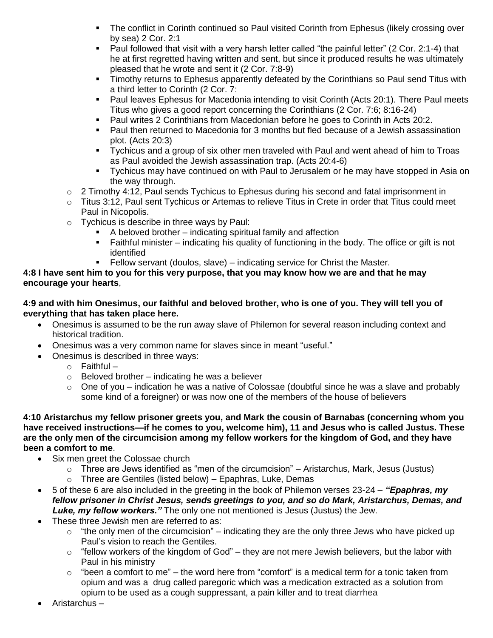- The conflict in Corinth continued so Paul visited Corinth from Ephesus (likely crossing over by sea) 2 Cor. 2:1
- Paul followed that visit with a very harsh letter called "the painful letter" (2 Cor. 2:1-4) that he at first regretted having written and sent, but since it produced results he was ultimately pleased that he wrote and sent it (2 Cor. 7:8-9)
- Timothy returns to Ephesus apparently defeated by the Corinthians so Paul send Titus with a third letter to Corinth (2 Cor. 7:
- Paul leaves Ephesus for Macedonia intending to visit Corinth (Acts 20:1). There Paul meets Titus who gives a good report concerning the Corinthians (2 Cor. 7:6; 8:16-24)
- Paul writes 2 Corinthians from Macedonian before he goes to Corinth in Acts 20:2.
- Paul then returned to Macedonia for 3 months but fled because of a Jewish assassination plot. (Acts 20:3)
- Tychicus and a group of six other men traveled with Paul and went ahead of him to Troas as Paul avoided the Jewish assassination trap. (Acts 20:4-6)
- Tychicus may have continued on with Paul to Jerusalem or he may have stopped in Asia on the way through.
- $\circ$  2 Timothy 4:12, Paul sends Tychicus to Ephesus during his second and fatal imprisonment in
- $\circ$  Titus 3:12, Paul sent Tychicus or Artemas to relieve Titus in Crete in order that Titus could meet Paul in Nicopolis.
- o Tychicus is describe in three ways by Paul:
	- A beloved brother indicating spiritual family and affection<br>Faithful minister indicating his quality of functioning in the
	- Faithful minister indicating his quality of functioning in the body. The office or gift is not identified
	- Fellow servant (doulos, slave) indicating service for Christ the Master.

## **4:8 I have sent him to you for this very purpose, that you may know how we are and that he may encourage your hearts**,

## **4:9 and with him Onesimus, our faithful and beloved brother, who is one of you. They will tell you of everything that has taken place here.**

- Onesimus is assumed to be the run away slave of Philemon for several reason including context and historical tradition.
- Onesimus was a very common name for slaves since in meant "useful."
- Onesimus is described in three ways:
	- $\circ$  Faithful –
	- $\circ$  Beloved brother indicating he was a believer
	- $\circ$  One of you indication he was a native of Colossae (doubtful since he was a slave and probably some kind of a foreigner) or was now one of the members of the house of believers

**4:10 Aristarchus my fellow prisoner greets you, and Mark the cousin of Barnabas (concerning whom you have received instructions—if he comes to you, welcome him), 11 and Jesus who is called Justus. These are the only men of the circumcision among my fellow workers for the kingdom of God, and they have been a comfort to me**.

- Six men greet the Colossae church
	- $\circ$  Three are Jews identified as "men of the circumcision" Aristarchus, Mark, Jesus (Justus)
	- $\circ$  Three are Gentiles (listed below) Epaphras, Luke, Demas
- 5 of these 6 are also included in the greeting in the book of Philemon verses 23-24 *"Epaphras, my fellow prisoner in Christ Jesus, sends greetings to you, and so do Mark, Aristarchus, Demas, and Luke, my fellow workers."* The only one not mentioned is Jesus (Justus) the Jew.
- These three Jewish men are referred to as:
	- $\circ$  "the only men of the circumcision" indicating they are the only three Jews who have picked up Paul's vision to reach the Gentiles.
	- $\circ$  "fellow workers of the kingdom of God" they are not mere Jewish believers, but the labor with Paul in his ministry
	- $\circ$  "been a comfort to me" the word here from "comfort" is a medical term for a tonic taken from opium and was a drug called paregoric which was a medication extracted as a solution from opium to be used as a cough suppressant, a pain killer and to treat diarrhea
- Aristarchus –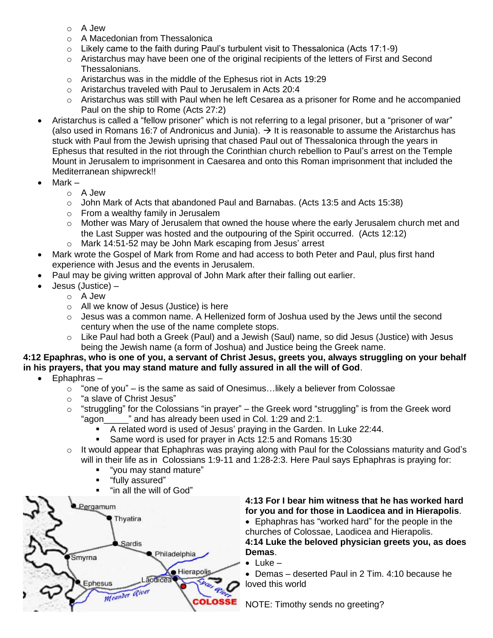- o A Jew
- $\circ$  A Macedonian from Thessalonica
- $\circ$  Likely came to the faith during Paul's turbulent visit to Thessalonica (Acts 17:1-9)
- $\circ$  Aristarchus may have been one of the original recipients of the letters of First and Second Thessalonians.
- o Aristarchus was in the middle of the Ephesus riot in Acts 19:29
- o Aristarchus traveled with Paul to Jerusalem in Acts 20:4
- $\circ$  Aristarchus was still with Paul when he left Cesarea as a prisoner for Rome and he accompanied Paul on the ship to Rome (Acts 27:2)
- Aristarchus is called a "fellow prisoner" which is not referring to a legal prisoner, but a "prisoner of war" (also used in Romans 16:7 of Andronicus and Junia).  $\rightarrow$  It is reasonable to assume the Aristarchus has stuck with Paul from the Jewish uprising that chased Paul out of Thessalonica through the years in Ephesus that resulted in the riot through the Corinthian church rebellion to Paul's arrest on the Temple Mount in Jerusalem to imprisonment in Caesarea and onto this Roman imprisonment that included the Mediterranean shipwreck!!
- Mark
	- o A Jew
	- $\circ$  John Mark of Acts that abandoned Paul and Barnabas. (Acts 13:5 and Acts 15:38)
	- o From a wealthy family in Jerusalem
	- $\circ$  Mother was Mary of Jerusalem that owned the house where the early Jerusalem church met and the Last Supper was hosted and the outpouring of the Spirit occurred. (Acts 12:12)
	- o Mark 14:51-52 may be John Mark escaping from Jesus' arrest
- Mark wrote the Gospel of Mark from Rome and had access to both Peter and Paul, plus first hand experience with Jesus and the events in Jerusalem.
- Paul may be giving written approval of John Mark after their falling out earlier.
- Jesus (Justice)
	- o A Jew
	- o All we know of Jesus (Justice) is here
	- $\circ$  Jesus was a common name. A Hellenized form of Joshua used by the Jews until the second century when the use of the name complete stops.
	- o Like Paul had both a Greek (Paul) and a Jewish (Saul) name, so did Jesus (Justice) with Jesus being the Jewish name (a form of Joshua) and Justice being the Greek name.

## **4:12 Epaphras, who is one of you, a servant of Christ Jesus, greets you, always struggling on your behalf in his prayers, that you may stand mature and fully assured in all the will of God**.

- Ephaphras
	- $\circ$  "one of you" is the same as said of Onesimus... likely a believer from Colossae
	- o "a slave of Christ Jesus"
	- $\circ$  "struggling" for the Colossians "in prayer" the Greek word "struggling" is from the Greek word "agon 
	" and has already been used in Col. 1:29 and 2:1.
		- A related word is used of Jesus' praying in the Garden. In Luke 22:44.
		- Same word is used for prayer in Acts 12:5 and Romans 15:30
	- $\circ$  It would appear that Ephaphras was praying along with Paul for the Colossians maturity and God's will in their life as in Colossians 1:9-11 and 1:28-2:3. Here Paul says Ephaphras is praying for:
		- "you may stand mature"
		- "fully assured"
		- "in all the will of God"



**4:13 For I bear him witness that he has worked hard for you and for those in Laodicea and in Hierapolis**.

 Ephaphras has "worked hard" for the people in the churches of Colossae, Laodicea and Hierapolis. **4:14 Luke the beloved physician greets you, as does Demas**.

 $\bullet$  Luke  $-$ 

 Demas – deserted Paul in 2 Tim. 4:10 because he loved this world

NOTE: Timothy sends no greeting?